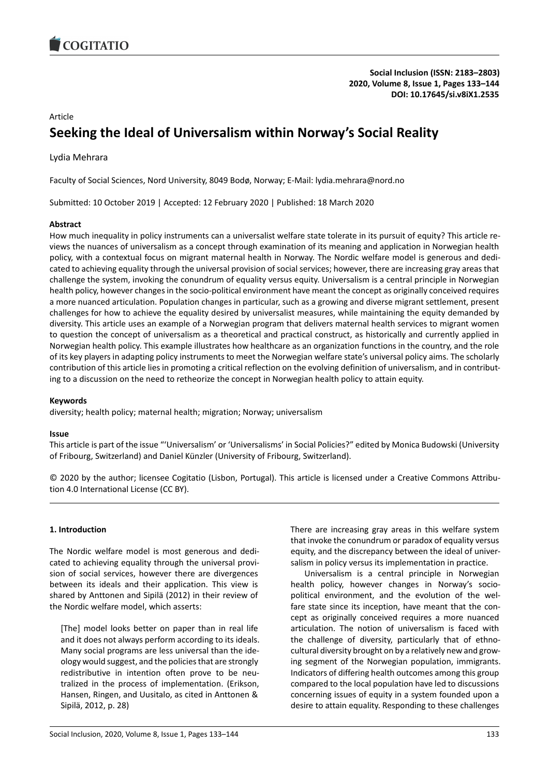

# Article **Seeking the Ideal of Universalism within Norway's Social Reality**

Lydia Mehrara

Faculty of Social Sciences, Nord University, 8049 Bodø, Norway; E-Mail: lydia.mehrara@nord.no

Submitted: 10 October 2019 | Accepted: 12 February 2020 | Published: 18 March 2020

# **Abstract**

How much inequality in policy instruments can a universalist welfare state tolerate in its pursuit of equity? This article reviews the nuances of universalism as a concept through examination of its meaning and application in Norwegian health policy, with a contextual focus on migrant maternal health in Norway. The Nordic welfare model is generous and dedicated to achieving equality through the universal provision of social services; however, there are increasing gray areas that challenge the system, invoking the conundrum of equality versus equity. Universalism is a central principle in Norwegian health policy, however changes in the socio-political environment have meant the concept as originally conceived requires a more nuanced articulation. Population changes in particular, such as a growing and diverse migrant settlement, present challenges for how to achieve the equality desired by universalist measures, while maintaining the equity demanded by diversity. This article uses an example of a Norwegian program that delivers maternal health services to migrant women to question the concept of universalism as a theoretical and practical construct, as historically and currently applied in Norwegian health policy. This example illustrates how healthcare as an organization functions in the country, and the role of its key players in adapting policy instruments to meet the Norwegian welfare state's universal policy aims. The scholarly contribution of this article lies in promoting a critical reflection on the evolving definition of universalism, and in contributing to a discussion on the need to retheorize the concept in Norwegian health policy to attain equity.

# **Keywords**

diversity; health policy; maternal health; migration; Norway; universalism

# **Issue**

This article is part of the issue "'Universalism' or 'Universalisms' in Social Policies?" edited by Monica Budowski (University of Fribourg, Switzerland) and Daniel Künzler (University of Fribourg, Switzerland).

© 2020 by the author; licensee Cogitatio (Lisbon, Portugal). This article is licensed under a Creative Commons Attribution 4.0 International License (CC BY).

# **1. Introduction**

The Nordic welfare model is most generous and dedicated to achieving equality through the universal provision of social services, however there are divergences between its ideals and their application. This view is shared by Anttonen and Sipilä (2012) in their review of the Nordic welfare model, which asserts:

[The] model looks better on paper than in real life and it does not always perform according to its ideals. Many social programs are less universal than the ideology would suggest, and the policies that are strongly redistributive in intention often prove to be neutralized in the process of implementation. (Erikson, Hansen, Ringen, and Uusitalo, as cited in Anttonen & Sipilä, 2012, p. 28)

There are increasing gray areas in this welfare system that invoke the conundrum or paradox of equality versus equity, and the discrepancy between the ideal of universalism in policy versus its implementation in practice.

Universalism is a central principle in Norwegian health policy, however changes in Norway's sociopolitical environment, and the evolution of the welfare state since its inception, have meant that the concept as originally conceived requires a more nuanced articulation. The notion of universalism is faced with the challenge of diversity, particularly that of ethnocultural diversity brought on by a relatively new and growing segment of the Norwegian population, immigrants. Indicators of differing health outcomes among this group compared to the local population have led to discussions concerning issues of equity in a system founded upon a desire to attain equality. Responding to these challenges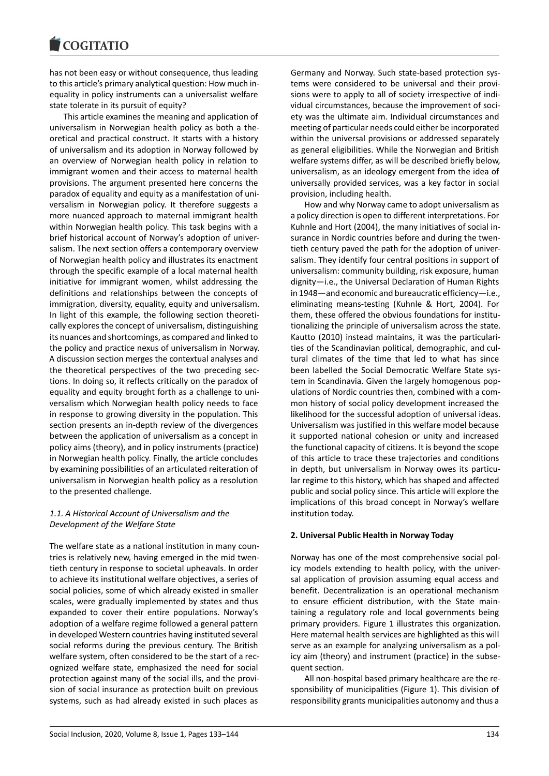has not been easy or without consequence, thus leading to this article's primary analytical question: How much inequality in policy instruments can a universalist welfare state tolerate in its pursuit of equity?

This article examines the meaning and application of universalism in Norwegian health policy as both a theoretical and practical construct. It starts with a history of universalism and its adoption in Norway followed by an overview of Norwegian health policy in relation to immigrant women and their access to maternal health provisions. The argument presented here concerns the paradox of equality and equity as a manifestation of universalism in Norwegian policy. It therefore suggests a more nuanced approach to maternal immigrant health within Norwegian health policy. This task begins with a brief historical account of Norway's adoption of universalism. The next section offers a contemporary overview of Norwegian health policy and illustrates its enactment through the specific example of a local maternal health initiative for immigrant women, whilst addressing the definitions and relationships between the concepts of immigration, diversity, equality, equity and universalism. In light of this example, the following section theoretically explores the concept of universalism, distinguishing its nuances and shortcomings, as compared and linked to the policy and practice nexus of universalism in Norway. A discussion section merges the contextual analyses and the theoretical perspectives of the two preceding sections. In doing so, it reflects critically on the paradox of equality and equity brought forth as a challenge to universalism which Norwegian health policy needs to face in response to growing diversity in the population. This section presents an in-depth review of the divergences between the application of universalism as a concept in policy aims (theory), and in policy instruments (practice) in Norwegian health policy. Finally, the article concludes by examining possibilities of an articulated reiteration of universalism in Norwegian health policy as a resolution to the presented challenge.

# *1.1. A Historical Account of Universalism and the Development of the Welfare State*

The welfare state as a national institution in many countries is relatively new, having emerged in the mid twentieth century in response to societal upheavals. In order to achieve its institutional welfare objectives, a series of social policies, some of which already existed in smaller scales, were gradually implemented by states and thus expanded to cover their entire populations. Norway's adoption of a welfare regime followed a general pattern in developed Western countries having instituted several social reforms during the previous century. The British welfare system, often considered to be the start of a recognized welfare state, emphasized the need for social protection against many of the social ills, and the provision of social insurance as protection built on previous systems, such as had already existed in such places as

Germany and Norway. Such state-based protection systems were considered to be universal and their provisions were to apply to all of society irrespective of individual circumstances, because the improvement of society was the ultimate aim. Individual circumstances and meeting of particular needs could either be incorporated within the universal provisions or addressed separately as general eligibilities. While the Norwegian and British welfare systems differ, as will be described briefly below, universalism, as an ideology emergent from the idea of universally provided services, was a key factor in social provision, including health.

How and why Norway came to adopt universalism as a policy direction is open to different interpretations. For Kuhnle and Hort (2004), the many initiatives of social insurance in Nordic countries before and during the twentieth century paved the path for the adoption of universalism. They identify four central positions in support of universalism: community building, risk exposure, human dignity—i.e., the Universal Declaration of Human Rights in 1948—and economic and bureaucratic efficiency—i.e., eliminating means-testing (Kuhnle & Hort, 2004). For them, these offered the obvious foundations for institutionalizing the principle of universalism across the state. Kautto (2010) instead maintains, it was the particularities of the Scandinavian political, demographic, and cultural climates of the time that led to what has since been labelled the Social Democratic Welfare State system in Scandinavia. Given the largely homogenous populations of Nordic countries then, combined with a common history of social policy development increased the likelihood for the successful adoption of universal ideas. Universalism was justified in this welfare model because it supported national cohesion or unity and increased the functional capacity of citizens. It is beyond the scope of this article to trace these trajectories and conditions in depth, but universalism in Norway owes its particular regime to this history, which has shaped and affected public and social policy since. This article will explore the implications of this broad concept in Norway's welfare institution today.

# **2. Universal Public Health in Norway Today**

Norway has one of the most comprehensive social policy models extending to health policy, with the universal application of provision assuming equal access and benefit. Decentralization is an operational mechanism to ensure efficient distribution, with the State maintaining a regulatory role and local governments being primary providers. Figure 1 illustrates this organization. Here maternal health services are highlighted as this will serve as an example for analyzing universalism as a policy aim (theory) and instrument (practice) in the subsequent section.

All non-hospital based primary healthcare are the responsibility of municipalities (Figure 1). This division of responsibility grants municipalities autonomy and thus a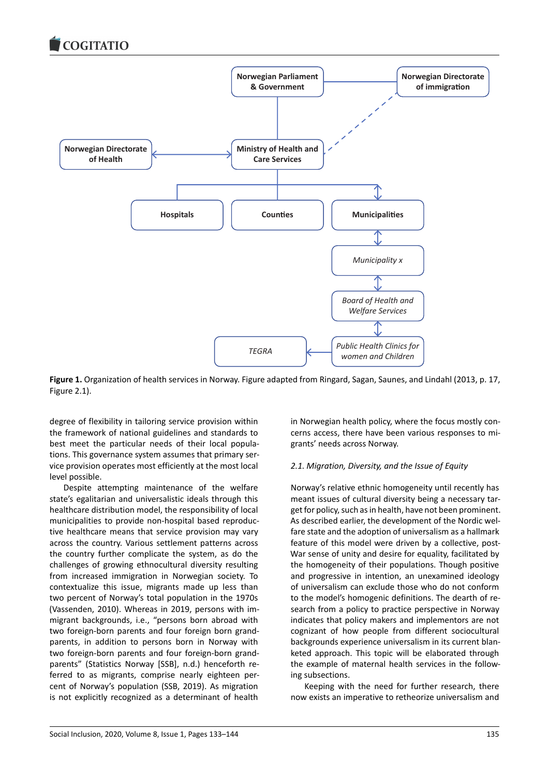

**Figure 1.** Organization of health services in Norway. Figure adapted from Ringard, Sagan, Saunes, and Lindahl (2013, p. 17, Figure 2.1).

degree of flexibility in tailoring service provision within the framework of national guidelines and standards to best meet the particular needs of their local populations. This governance system assumes that primary service provision operates most efficiently at the most local level possible.

Despite attempting maintenance of the welfare state's egalitarian and universalistic ideals through this healthcare distribution model, the responsibility of local municipalities to provide non-hospital based reproductive healthcare means that service provision may vary across the country. Various settlement patterns across the country further complicate the system, as do the challenges of growing ethnocultural diversity resulting from increased immigration in Norwegian society. To contextualize this issue, migrants made up less than two percent of Norway's total population in the 1970s (Vassenden, 2010). Whereas in 2019, persons with immigrant backgrounds, i.e., "persons born abroad with two foreign-born parents and four foreign born grandparents, in addition to persons born in Norway with two foreign-born parents and four foreign-born grandparents" (Statistics Norway [SSB], n.d.) henceforth referred to as migrants, comprise nearly eighteen percent of Norway's population (SSB, 2019). As migration is not explicitly recognized as a determinant of health

in Norwegian health policy, where the focus mostly concerns access, there have been various responses to migrants' needs across Norway.

# *2.1. Migration, Diversity, and the Issue of Equity*

Norway's relative ethnic homogeneity until recently has meant issues of cultural diversity being a necessary target for policy, such as in health, have not been prominent. As described earlier, the development of the Nordic welfare state and the adoption of universalism as a hallmark feature of this model were driven by a collective, post-War sense of unity and desire for equality, facilitated by the homogeneity of their populations. Though positive and progressive in intention, an unexamined ideology of universalism can exclude those who do not conform to the model's homogenic definitions. The dearth of research from a policy to practice perspective in Norway indicates that policy makers and implementors are not cognizant of how people from different sociocultural backgrounds experience universalism in its current blanketed approach. This topic will be elaborated through the example of maternal health services in the following subsections.

Keeping with the need for further research, there now exists an imperative to retheorize universalism and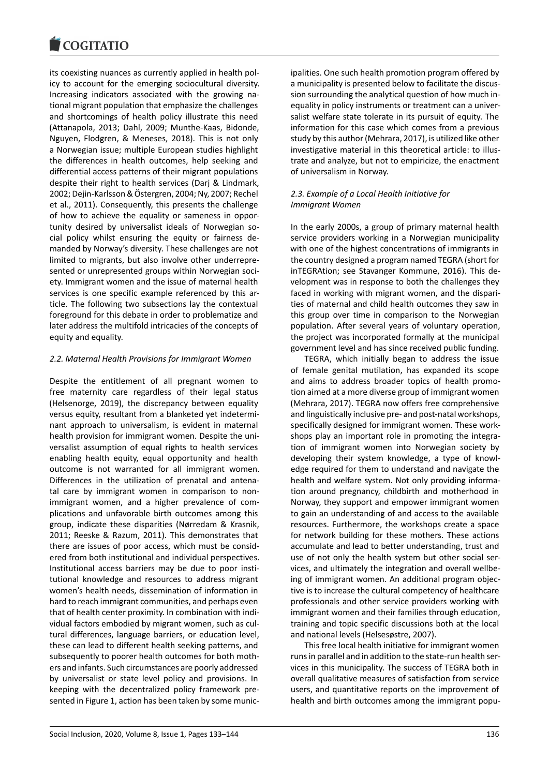#### COQUIATIO

its coexisting nuances as currently applied in health policy to account for the emerging sociocultural diversity. Increasing indicators associated with the growing national migrant population that emphasize the challenges and shortcomings of health policy illustrate this need (Attanapola, 2013; Dahl, 2009; Munthe-Kaas, Bidonde, Nguyen, Flodgren, & Meneses, 2018). This is not only a Norwegian issue; multiple European studies highlight the differences in health outcomes, help seeking and differential access patterns of their migrant populations despite their right to health services (Darj & Lindmark, 2002; Dejin-Karlsson & Östergren, 2004; Ny, 2007; Rechel et al., 2011). Consequently, this presents the challenge of how to achieve the equality or sameness in opportunity desired by universalist ideals of Norwegian social policy whilst ensuring the equity or fairness demanded by Norway's diversity. These challenges are not limited to migrants, but also involve other underrepresented or unrepresented groups within Norwegian society. Immigrant women and the issue of maternal health services is one specific example referenced by this article. The following two subsections lay the contextual foreground for this debate in order to problematize and later address the multifold intricacies of the concepts of equity and equality.

### *2.2. Maternal Health Provisions for Immigrant Women*

Despite the entitlement of all pregnant women to free maternity care regardless of their legal status (Helsenorge, 2019), the discrepancy between equality versus equity, resultant from a blanketed yet indeterminant approach to universalism, is evident in maternal health provision for immigrant women. Despite the universalist assumption of equal rights to health services enabling health equity, equal opportunity and health outcome is not warranted for all immigrant women. Differences in the utilization of prenatal and antenatal care by immigrant women in comparison to nonimmigrant women, and a higher prevalence of complications and unfavorable birth outcomes among this group, indicate these disparities (Nørredam & Krasnik, 2011; Reeske & Razum, 2011). This demonstrates that there are issues of poor access, which must be considered from both institutional and individual perspectives. Institutional access barriers may be due to poor institutional knowledge and resources to address migrant women's health needs, dissemination of information in hard to reach immigrant communities, and perhaps even that of health center proximity. In combination with individual factors embodied by migrant women, such as cultural differences, language barriers, or education level, these can lead to different health seeking patterns, and subsequently to poorer health outcomes for both mothers and infants. Such circumstances are poorly addressed by universalist or state level policy and provisions. In keeping with the decentralized policy framework presented in Figure 1, action has been taken by some municipalities. One such health promotion program offered by a municipality is presented below to facilitate the discussion surrounding the analytical question of how much inequality in policy instruments or treatment can a universalist welfare state tolerate in its pursuit of equity. The information for this case which comes from a previous study by this author (Mehrara, 2017), is utilized like other investigative material in this theoretical article: to illustrate and analyze, but not to empiricize, the enactment of universalism in Norway.

### *2.3. Example of a Local Health Initiative for Immigrant Women*

In the early 2000s, a group of primary maternal health service providers working in a Norwegian municipality with one of the highest concentrations of immigrants in the country designed a program named TEGRA (short for inTEGRAtion; see Stavanger Kommune, 2016). This development was in response to both the challenges they faced in working with migrant women, and the disparities of maternal and child health outcomes they saw in this group over time in comparison to the Norwegian population. After several years of voluntary operation, the project was incorporated formally at the municipal government level and has since received public funding.

TEGRA, which initially began to address the issue of female genital mutilation, has expanded its scope and aims to address broader topics of health promotion aimed at a more diverse group of immigrant women (Mehrara, 2017). TEGRA now offers free comprehensive and linguistically inclusive pre- and post-natal workshops, specifically designed for immigrant women. These workshops play an important role in promoting the integration of immigrant women into Norwegian society by developing their system knowledge, a type of knowledge required for them to understand and navigate the health and welfare system. Not only providing information around pregnancy, childbirth and motherhood in Norway, they support and empower immigrant women to gain an understanding of and access to the available resources. Furthermore, the workshops create a space for network building for these mothers. These actions accumulate and lead to better understanding, trust and use of not only the health system but other social services, and ultimately the integration and overall wellbeing of immigrant women. An additional program objective is to increase the cultural competency of healthcare professionals and other service providers working with immigrant women and their families through education, training and topic specific discussions both at the local and national levels (Helsesøstre, 2007).

This free local health initiative for immigrant women runs in parallel and in addition to the state-run health services in this municipality. The success of TEGRA both in overall qualitative measures of satisfaction from service users, and quantitative reports on the improvement of health and birth outcomes among the immigrant popu-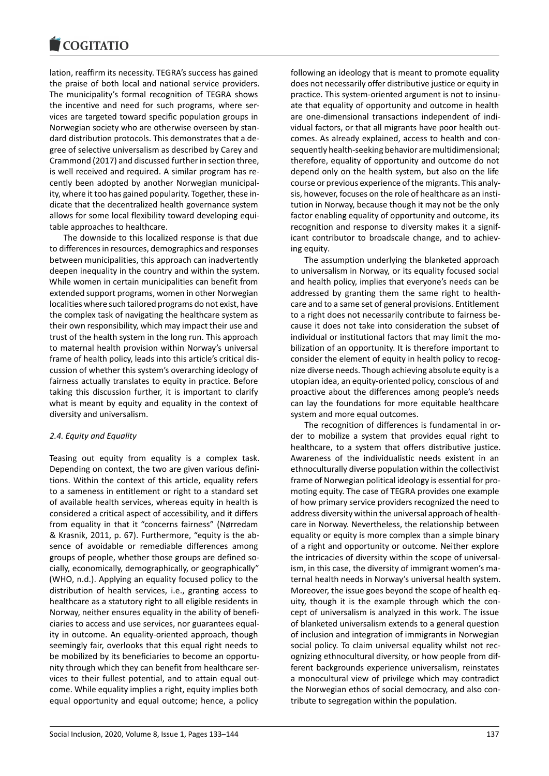lation, reaffirm its necessity. TEGRA's success has gained the praise of both local and national service providers. The municipality's formal recognition of TEGRA shows the incentive and need for such programs, where services are targeted toward specific population groups in Norwegian society who are otherwise overseen by standard distribution protocols. This demonstrates that a degree of selective universalism as described by Carey and Crammond (2017) and discussed further in section three, is well received and required. A similar program has recently been adopted by another Norwegian municipality, where it too has gained popularity. Together, these indicate that the decentralized health governance system allows for some local flexibility toward developing equitable approaches to healthcare.

The downside to this localized response is that due to differences in resources, demographics and responses between municipalities, this approach can inadvertently deepen inequality in the country and within the system. While women in certain municipalities can benefit from extended support programs, women in other Norwegian localities where such tailored programs do not exist, have the complex task of navigating the healthcare system as their own responsibility, which may impact their use and trust of the health system in the long run. This approach to maternal health provision within Norway's universal frame of health policy, leads into this article's critical discussion of whether this system's overarching ideology of fairness actually translates to equity in practice. Before taking this discussion further, it is important to clarify what is meant by equity and equality in the context of diversity and universalism.

### *2.4. Equity and Equality*

Teasing out equity from equality is a complex task. Depending on context, the two are given various definitions. Within the context of this article, equality refers to a sameness in entitlement or right to a standard set of available health services, whereas equity in health is considered a critical aspect of accessibility, and it differs from equality in that it "concerns fairness" (Nørredam & Krasnik, 2011, p. 67). Furthermore, "equity is the absence of avoidable or remediable differences among groups of people, whether those groups are defined socially, economically, demographically, or geographically" (WHO, n.d.). Applying an equality focused policy to the distribution of health services, i.e., granting access to healthcare as a statutory right to all eligible residents in Norway, neither ensures equality in the ability of beneficiaries to access and use services, nor guarantees equality in outcome. An equality-oriented approach, though seemingly fair, overlooks that this equal right needs to be mobilized by its beneficiaries to become an opportunity through which they can benefit from healthcare services to their fullest potential, and to attain equal outcome. While equality implies a right, equity implies both equal opportunity and equal outcome; hence, a policy

following an ideology that is meant to promote equality does not necessarily offer distributive justice or equity in practice. This system-oriented argument is not to insinuate that equality of opportunity and outcome in health are one-dimensional transactions independent of individual factors, or that all migrants have poor health outcomes. As already explained, access to health and consequently health-seeking behavior are multidimensional; therefore, equality of opportunity and outcome do not depend only on the health system, but also on the life course or previous experience of the migrants. This analysis, however, focuses on the role of healthcare as an institution in Norway, because though it may not be the only factor enabling equality of opportunity and outcome, its recognition and response to diversity makes it a significant contributor to broadscale change, and to achieving equity.

The assumption underlying the blanketed approach to universalism in Norway, or its equality focused social and health policy, implies that everyone's needs can be addressed by granting them the same right to healthcare and to a same set of general provisions. Entitlement to a right does not necessarily contribute to fairness because it does not take into consideration the subset of individual or institutional factors that may limit the mobilization of an opportunity. It is therefore important to consider the element of equity in health policy to recognize diverse needs. Though achieving absolute equity is a utopian idea, an equity-oriented policy, conscious of and proactive about the differences among people's needs can lay the foundations for more equitable healthcare system and more equal outcomes.

The recognition of differences is fundamental in order to mobilize a system that provides equal right to healthcare, to a system that offers distributive justice. Awareness of the individualistic needs existent in an ethnoculturally diverse population within the collectivist frame of Norwegian political ideology is essential for promoting equity. The case of TEGRA provides one example of how primary service providers recognized the need to address diversity within the universal approach of healthcare in Norway. Nevertheless, the relationship between equality or equity is more complex than a simple binary of a right and opportunity or outcome. Neither explore the intricacies of diversity within the scope of universalism, in this case, the diversity of immigrant women's maternal health needs in Norway's universal health system. Moreover, the issue goes beyond the scope of health equity, though it is the example through which the concept of universalism is analyzed in this work. The issue of blanketed universalism extends to a general question of inclusion and integration of immigrants in Norwegian social policy. To claim universal equality whilst not recognizing ethnocultural diversity, or how people from different backgrounds experience universalism, reinstates a monocultural view of privilege which may contradict the Norwegian ethos of social democracy, and also contribute to segregation within the population.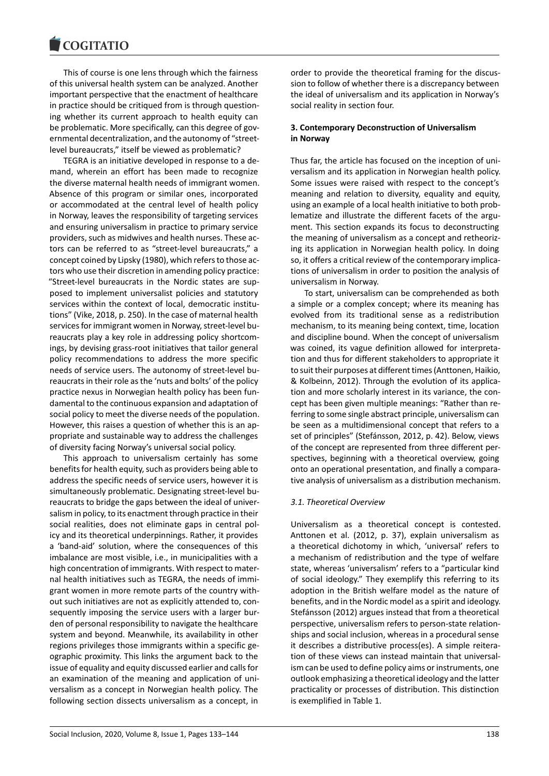This of course is one lens through which the fairness of this universal health system can be analyzed. Another important perspective that the enactment of healthcare in practice should be critiqued from is through questioning whether its current approach to health equity can be problematic. More specifically, can this degree of governmental decentralization, and the autonomy of "streetlevel bureaucrats," itself be viewed as problematic?

TEGRA is an initiative developed in response to a demand, wherein an effort has been made to recognize the diverse maternal health needs of immigrant women. Absence of this program or similar ones, incorporated or accommodated at the central level of health policy in Norway, leaves the responsibility of targeting services and ensuring universalism in practice to primary service providers, such as midwives and health nurses. These actors can be referred to as "street-level bureaucrats," a concept coined by Lipsky (1980), which refers to those actors who use their discretion in amending policy practice: "Street-level bureaucrats in the Nordic states are supposed to implement universalist policies and statutory services within the context of local, democratic institutions" (Vike, 2018, p. 250). In the case of maternal health services for immigrant women in Norway, street-level bureaucrats play a key role in addressing policy shortcomings, by devising grass-root initiatives that tailor general policy recommendations to address the more specific needs of service users. The autonomy of street-level bureaucrats in their role as the 'nuts and bolts' of the policy practice nexus in Norwegian health policy has been fundamental to the continuous expansion and adaptation of social policy to meet the diverse needs of the population. However, this raises a question of whether this is an appropriate and sustainable way to address the challenges of diversity facing Norway's universal social policy.

This approach to universalism certainly has some benefits for health equity, such as providers being able to address the specific needs of service users, however it is simultaneously problematic. Designating street-level bureaucrats to bridge the gaps between the ideal of universalism in policy, to its enactment through practice in their social realities, does not eliminate gaps in central policy and its theoretical underpinnings. Rather, it provides a 'band-aid' solution, where the consequences of this imbalance are most visible, i.e., in municipalities with a high concentration of immigrants. With respect to maternal health initiatives such as TEGRA, the needs of immigrant women in more remote parts of the country without such initiatives are not as explicitly attended to, consequently imposing the service users with a larger burden of personal responsibility to navigate the healthcare system and beyond. Meanwhile, its availability in other regions privileges those immigrants within a specific geographic proximity. This links the argument back to the issue of equality and equity discussed earlier and calls for an examination of the meaning and application of universalism as a concept in Norwegian health policy. The following section dissects universalism as a concept, in

order to provide the theoretical framing for the discussion to follow of whether there is a discrepancy between the ideal of universalism and its application in Norway's social reality in section four.

# **3. Contemporary Deconstruction of Universalism in Norway**

Thus far, the article has focused on the inception of universalism and its application in Norwegian health policy. Some issues were raised with respect to the concept's meaning and relation to diversity, equality and equity, using an example of a local health initiative to both problematize and illustrate the different facets of the argument. This section expands its focus to deconstructing the meaning of universalism as a concept and retheorizing its application in Norwegian health policy. In doing so, it offers a critical review of the contemporary implications of universalism in order to position the analysis of universalism in Norway.

To start, universalism can be comprehended as both a simple or a complex concept; where its meaning has evolved from its traditional sense as a redistribution mechanism, to its meaning being context, time, location and discipline bound. When the concept of universalism was coined, its vague definition allowed for interpretation and thus for different stakeholders to appropriate it to suit their purposes at different times (Anttonen, Haikio, & Kolbeinn, 2012). Through the evolution of its application and more scholarly interest in its variance, the concept has been given multiple meanings: "Rather than referring to some single abstract principle, universalism can be seen as a multidimensional concept that refers to a set of principles" (Stefánsson, 2012, p. 42). Below, views of the concept are represented from three different perspectives, beginning with a theoretical overview, going onto an operational presentation, and finally a comparative analysis of universalism as a distribution mechanism.

### *3.1. Theoretical Overview*

Universalism as a theoretical concept is contested. Anttonen et al. (2012, p. 37), explain universalism as a theoretical dichotomy in which, 'universal' refers to a mechanism of redistribution and the type of welfare state, whereas 'universalism' refers to a "particular kind of social ideology." They exemplify this referring to its adoption in the British welfare model as the nature of benefits, and in the Nordic model as a spirit and ideology. Stefánsson (2012) argues instead that from a theoretical perspective, universalism refers to person-state relationships and social inclusion, whereas in a procedural sense it describes a distributive process(es). A simple reiteration of these views can instead maintain that universalism can be used to define policy aims or instruments, one outlook emphasizing a theoretical ideology and the latter practicality or processes of distribution. This distinction is exemplified in Table 1.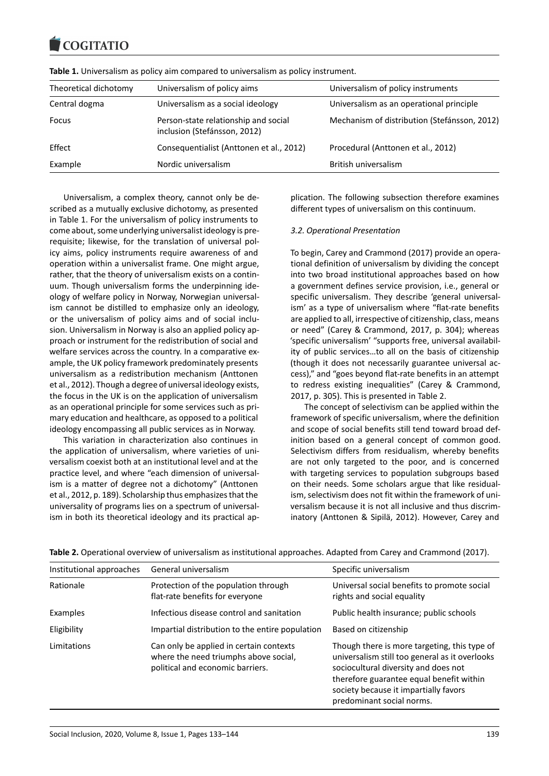| Theoretical dichotomy | Universalism of policy aims                                          | Universalism of policy instruments<br>Universalism as an operational principle<br>Mechanism of distribution (Stefánsson, 2012) |  |
|-----------------------|----------------------------------------------------------------------|--------------------------------------------------------------------------------------------------------------------------------|--|
| Central dogma         | Universalism as a social ideology                                    |                                                                                                                                |  |
| Focus                 | Person-state relationship and social<br>inclusion (Stefánsson, 2012) |                                                                                                                                |  |
| Effect                | Consequentialist (Anttonen et al., 2012)                             | Procedural (Anttonen et al., 2012)                                                                                             |  |
| Example               | Nordic universalism                                                  | British universalism                                                                                                           |  |

**Table 1.** Universalism as policy aim compared to universalism as policy instrument.

Universalism, a complex theory, cannot only be described as a mutually exclusive dichotomy, as presented in Table 1. For the universalism of policy instruments to come about, some underlying universalist ideology is prerequisite; likewise, for the translation of universal policy aims, policy instruments require awareness of and operation within a universalist frame. One might argue, rather, that the theory of universalism exists on a continuum. Though universalism forms the underpinning ideology of welfare policy in Norway, Norwegian universalism cannot be distilled to emphasize only an ideology, or the universalism of policy aims and of social inclusion. Universalism in Norway is also an applied policy approach or instrument for the redistribution of social and welfare services across the country. In a comparative example, the UK policy framework predominately presents universalism as a redistribution mechanism (Anttonen et al., 2012). Though a degree of universal ideology exists, the focus in the UK is on the application of universalism as an operational principle for some services such as primary education and healthcare, as opposed to a political ideology encompassing all public services as in Norway.

This variation in characterization also continues in the application of universalism, where varieties of universalism coexist both at an institutional level and at the practice level, and where "each dimension of universalism is a matter of degree not a dichotomy" (Anttonen et al., 2012, p. 189). Scholarship thus emphasizes that the universality of programs lies on a spectrum of universalism in both its theoretical ideology and its practical ap-

plication. The following subsection therefore examines different types of universalism on this continuum.

### *3.2. Operational Presentation*

To begin, Carey and Crammond (2017) provide an operational definition of universalism by dividing the concept into two broad institutional approaches based on how a government defines service provision, i.e., general or specific universalism. They describe 'general universalism' as a type of universalism where "flat-rate benefits are applied to all, irrespective of citizenship, class, means or need" (Carey & Crammond, 2017, p. 304); whereas 'specific universalism' "supports free, universal availability of public services…to all on the basis of citizenship (though it does not necessarily guarantee universal access)," and "goes beyond flat-rate benefits in an attempt to redress existing inequalities" (Carey & Crammond, 2017, p. 305). This is presented in Table 2.

The concept of selectivism can be applied within the framework of specific universalism, where the definition and scope of social benefits still tend toward broad definition based on a general concept of common good. Selectivism differs from residualism, whereby benefits are not only targeted to the poor, and is concerned with targeting services to population subgroups based on their needs. Some scholars argue that like residualism, selectivism does not fit within the framework of universalism because it is not all inclusive and thus discriminatory (Anttonen & Sipilä, 2012). However, Carey and

| Institutional approaches | General universalism<br>Specific universalism                                                                        |                                                                                                                                                                                                                                                          |  |
|--------------------------|----------------------------------------------------------------------------------------------------------------------|----------------------------------------------------------------------------------------------------------------------------------------------------------------------------------------------------------------------------------------------------------|--|
| Rationale                | Protection of the population through<br>flat-rate benefits for everyone                                              | Universal social benefits to promote social<br>rights and social equality                                                                                                                                                                                |  |
| Examples                 | Infectious disease control and sanitation                                                                            | Public health insurance; public schools                                                                                                                                                                                                                  |  |
| Eligibility              | Impartial distribution to the entire population                                                                      | Based on citizenship                                                                                                                                                                                                                                     |  |
| Limitations              | Can only be applied in certain contexts<br>where the need triumphs above social,<br>political and economic barriers. | Though there is more targeting, this type of<br>universalism still too general as it overlooks<br>sociocultural diversity and does not<br>therefore guarantee equal benefit within<br>society because it impartially favors<br>predominant social norms. |  |

| Table 2. Operational overview of universalism as institutional approaches. Adapted from Carey and Crammond (2017). |  |  |
|--------------------------------------------------------------------------------------------------------------------|--|--|
|--------------------------------------------------------------------------------------------------------------------|--|--|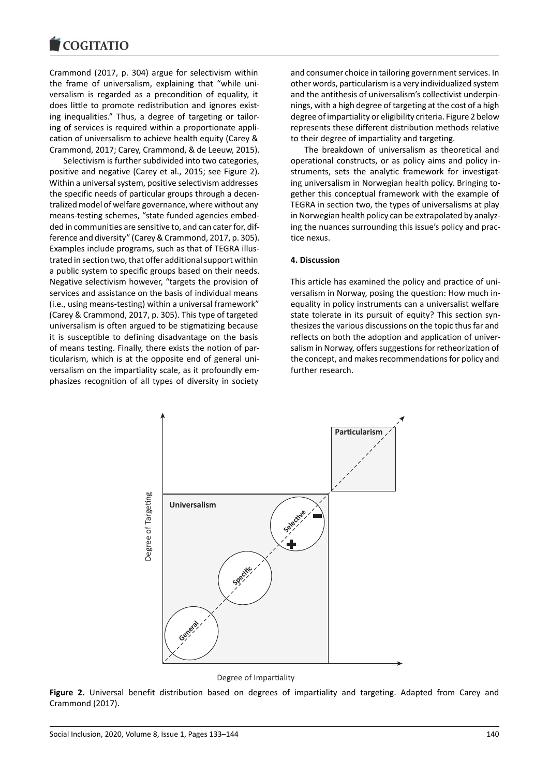Crammond (2017, p. 304) argue for selectivism within the frame of universalism, explaining that "while universalism is regarded as a precondition of equality, it does little to promote redistribution and ignores existing inequalities." Thus, a degree of targeting or tailoring of services is required within a proportionate application of universalism to achieve health equity (Carey & Crammond, 2017; Carey, Crammond, & de Leeuw, 2015).

Selectivism is further subdivided into two categories, positive and negative (Carey et al., 2015; see Figure 2). Within a universal system, positive selectivism addresses the specific needs of particular groups through a decentralized model of welfare governance, where without any means-testing schemes, "state funded agencies embedded in communities are sensitive to, and can cater for, difference and diversity" (Carey & Crammond, 2017, p. 305). Examples include programs, such as that of TEGRA illustrated in section two, that offer additional support within a public system to specific groups based on their needs. Negative selectivism however, "targets the provision of services and assistance on the basis of individual means (i.e., using means-testing) within a universal framework" (Carey & Crammond, 2017, p. 305). This type of targeted universalism is often argued to be stigmatizing because it is susceptible to defining disadvantage on the basis of means testing. Finally, there exists the notion of particularism, which is at the opposite end of general universalism on the impartiality scale, as it profoundly emphasizes recognition of all types of diversity in society and consumer choice in tailoring government services. In other words, particularism is a very individualized system and the antithesis of universalism's collectivist underpinnings, with a high degree of targeting at the cost of a high degree of impartiality or eligibility criteria. Figure 2 below represents these different distribution methods relative to their degree of impartiality and targeting.

The breakdown of universalism as theoretical and operational constructs, or as policy aims and policy instruments, sets the analytic framework for investigating universalism in Norwegian health policy. Bringing together this conceptual framework with the example of TEGRA in section two, the types of universalisms at play in Norwegian health policy can be extrapolated by analyzing the nuances surrounding this issue's policy and practice nexus.

### **4. Discussion**

This article has examined the policy and practice of universalism in Norway, posing the question: How much inequality in policy instruments can a universalist welfare state tolerate in its pursuit of equity? This section synthesizes the various discussions on the topic thus far and reflects on both the adoption and application of universalism in Norway, offers suggestions for retheorization of the concept, and makes recommendations for policy and further research.



Degree of Imparality

**Figure 2.** Universal benefit distribution based on degrees of impartiality and targeting. Adapted from Carey and Crammond (2017).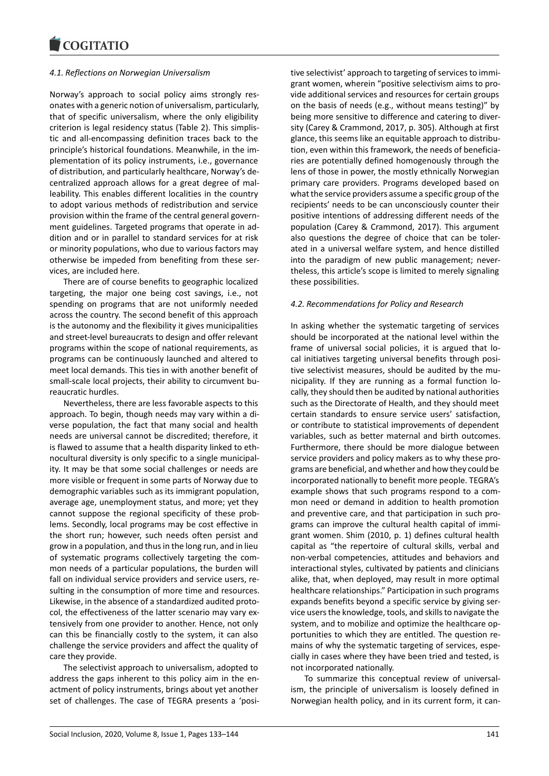## *4.1. Reflections on Norwegian Universalism*

Norway's approach to social policy aims strongly resonates with a generic notion of universalism, particularly, that of specific universalism, where the only eligibility criterion is legal residency status (Table 2). This simplistic and all-encompassing definition traces back to the principle's historical foundations. Meanwhile, in the implementation of its policy instruments, i.e., governance of distribution, and particularly healthcare, Norway's decentralized approach allows for a great degree of malleability. This enables different localities in the country to adopt various methods of redistribution and service provision within the frame of the central general government guidelines. Targeted programs that operate in addition and or in parallel to standard services for at risk or minority populations, who due to various factors may otherwise be impeded from benefiting from these services, are included here.

There are of course benefits to geographic localized targeting, the major one being cost savings, i.e., not spending on programs that are not uniformly needed across the country. The second benefit of this approach is the autonomy and the flexibility it gives municipalities and street-level bureaucrats to design and offer relevant programs within the scope of national requirements, as programs can be continuously launched and altered to meet local demands. This ties in with another benefit of small-scale local projects, their ability to circumvent bureaucratic hurdles.

Nevertheless, there are less favorable aspects to this approach. To begin, though needs may vary within a diverse population, the fact that many social and health needs are universal cannot be discredited; therefore, it is flawed to assume that a health disparity linked to ethnocultural diversity is only specific to a single municipality. It may be that some social challenges or needs are more visible or frequent in some parts of Norway due to demographic variables such as its immigrant population, average age, unemployment status, and more; yet they cannot suppose the regional specificity of these problems. Secondly, local programs may be cost effective in the short run; however, such needs often persist and grow in a population, and thus in the long run, and in lieu of systematic programs collectively targeting the common needs of a particular populations, the burden will fall on individual service providers and service users, resulting in the consumption of more time and resources. Likewise, in the absence of a standardized audited protocol, the effectiveness of the latter scenario may vary extensively from one provider to another. Hence, not only can this be financially costly to the system, it can also challenge the service providers and affect the quality of care they provide.

The selectivist approach to universalism, adopted to address the gaps inherent to this policy aim in the enactment of policy instruments, brings about yet another set of challenges. The case of TEGRA presents a 'positive selectivist' approach to targeting of services to immigrant women, wherein "positive selectivism aims to provide additional services and resources for certain groups on the basis of needs (e.g., without means testing)" by being more sensitive to difference and catering to diversity (Carey & Crammond, 2017, p. 305). Although at first glance, this seems like an equitable approach to distribution, even within this framework, the needs of beneficiaries are potentially defined homogenously through the lens of those in power, the mostly ethnically Norwegian primary care providers. Programs developed based on what the service providers assume a specific group of the recipients' needs to be can unconsciously counter their positive intentions of addressing different needs of the population (Carey & Crammond, 2017). This argument also questions the degree of choice that can be tolerated in a universal welfare system, and hence distilled into the paradigm of new public management; nevertheless, this article's scope is limited to merely signaling these possibilities.

# *4.2. Recommendations for Policy and Research*

In asking whether the systematic targeting of services should be incorporated at the national level within the frame of universal social policies, it is argued that local initiatives targeting universal benefits through positive selectivist measures, should be audited by the municipality. If they are running as a formal function locally, they should then be audited by national authorities such as the Directorate of Health, and they should meet certain standards to ensure service users' satisfaction, or contribute to statistical improvements of dependent variables, such as better maternal and birth outcomes. Furthermore, there should be more dialogue between service providers and policy makers as to why these programs are beneficial, and whether and how they could be incorporated nationally to benefit more people. TEGRA's example shows that such programs respond to a common need or demand in addition to health promotion and preventive care, and that participation in such programs can improve the cultural health capital of immigrant women. Shim (2010, p. 1) defines cultural health capital as "the repertoire of cultural skills, verbal and non-verbal competencies, attitudes and behaviors and interactional styles, cultivated by patients and clinicians alike, that, when deployed, may result in more optimal healthcare relationships." Participation in such programs expands benefits beyond a specific service by giving service users the knowledge, tools, and skills to navigate the system, and to mobilize and optimize the healthcare opportunities to which they are entitled. The question remains of why the systematic targeting of services, especially in cases where they have been tried and tested, is not incorporated nationally.

To summarize this conceptual review of universalism, the principle of universalism is loosely defined in Norwegian health policy, and in its current form, it can-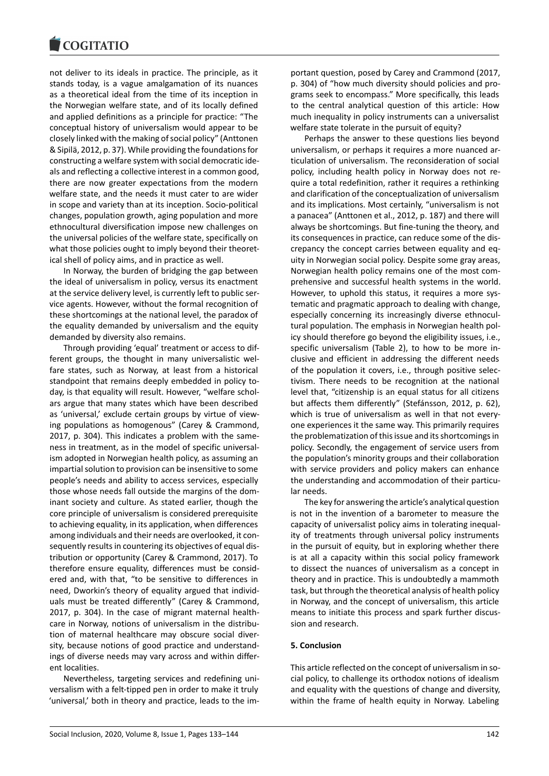#### COQUIATIO

not deliver to its ideals in practice. The principle, as it stands today, is a vague amalgamation of its nuances as a theoretical ideal from the time of its inception in the Norwegian welfare state, and of its locally defined and applied definitions as a principle for practice: "The conceptual history of universalism would appear to be closely linked with the making of social policy" (Anttonen & Sipilä, 2012, p. 37). While providing the foundations for constructing a welfare system with social democratic ideals and reflecting a collective interest in a common good, there are now greater expectations from the modern welfare state, and the needs it must cater to are wider in scope and variety than at its inception. Socio-political changes, population growth, aging population and more ethnocultural diversification impose new challenges on the universal policies of the welfare state, specifically on what those policies ought to imply beyond their theoretical shell of policy aims, and in practice as well.

In Norway, the burden of bridging the gap between the ideal of universalism in policy, versus its enactment at the service delivery level, is currently left to public service agents. However, without the formal recognition of these shortcomings at the national level, the paradox of the equality demanded by universalism and the equity demanded by diversity also remains.

Through providing 'equal' treatment or access to different groups, the thought in many universalistic welfare states, such as Norway, at least from a historical standpoint that remains deeply embedded in policy today, is that equality will result. However, "welfare scholars argue that many states which have been described as 'universal,' exclude certain groups by virtue of viewing populations as homogenous" (Carey & Crammond, 2017, p. 304). This indicates a problem with the sameness in treatment, as in the model of specific universalism adopted in Norwegian health policy, as assuming an impartial solution to provision can be insensitive to some people's needs and ability to access services, especially those whose needs fall outside the margins of the dominant society and culture. As stated earlier, though the core principle of universalism is considered prerequisite to achieving equality, in its application, when differences among individuals and their needs are overlooked, it consequently results in countering its objectives of equal distribution or opportunity (Carey & Crammond, 2017). To therefore ensure equality, differences must be considered and, with that, "to be sensitive to differences in need, Dworkin's theory of equality argued that individuals must be treated differently" (Carey & Crammond, 2017, p. 304). In the case of migrant maternal healthcare in Norway, notions of universalism in the distribution of maternal healthcare may obscure social diversity, because notions of good practice and understandings of diverse needs may vary across and within different localities.

Nevertheless, targeting services and redefining universalism with a felt-tipped pen in order to make it truly 'universal,' both in theory and practice, leads to the im-

portant question, posed by Carey and Crammond (2017, p. 304) of "how much diversity should policies and programs seek to encompass." More specifically, this leads to the central analytical question of this article: How much inequality in policy instruments can a universalist welfare state tolerate in the pursuit of equity?

Perhaps the answer to these questions lies beyond universalism, or perhaps it requires a more nuanced articulation of universalism. The reconsideration of social policy, including health policy in Norway does not require a total redefinition, rather it requires a rethinking and clarification of the conceptualization of universalism and its implications. Most certainly, "universalism is not a panacea" (Anttonen et al., 2012, p. 187) and there will always be shortcomings. But fine-tuning the theory, and its consequences in practice, can reduce some of the discrepancy the concept carries between equality and equity in Norwegian social policy. Despite some gray areas, Norwegian health policy remains one of the most comprehensive and successful health systems in the world. However, to uphold this status, it requires a more systematic and pragmatic approach to dealing with change, especially concerning its increasingly diverse ethnocultural population. The emphasis in Norwegian health policy should therefore go beyond the eligibility issues, i.e., specific universalism (Table 2), to how to be more inclusive and efficient in addressing the different needs of the population it covers, i.e., through positive selectivism. There needs to be recognition at the national level that, "citizenship is an equal status for all citizens but affects them differently" (Stefánsson, 2012, p. 62), which is true of universalism as well in that not everyone experiences it the same way. This primarily requires the problematization of this issue and its shortcomings in policy. Secondly, the engagement of service users from the population's minority groups and their collaboration with service providers and policy makers can enhance the understanding and accommodation of their particular needs.

The key for answering the article's analytical question is not in the invention of a barometer to measure the capacity of universalist policy aims in tolerating inequality of treatments through universal policy instruments in the pursuit of equity, but in exploring whether there is at all a capacity within this social policy framework to dissect the nuances of universalism as a concept in theory and in practice. This is undoubtedly a mammoth task, but through the theoretical analysis of health policy in Norway, and the concept of universalism, this article means to initiate this process and spark further discussion and research.

# **5. Conclusion**

This article reflected on the concept of universalism in social policy, to challenge its orthodox notions of idealism and equality with the questions of change and diversity, within the frame of health equity in Norway. Labeling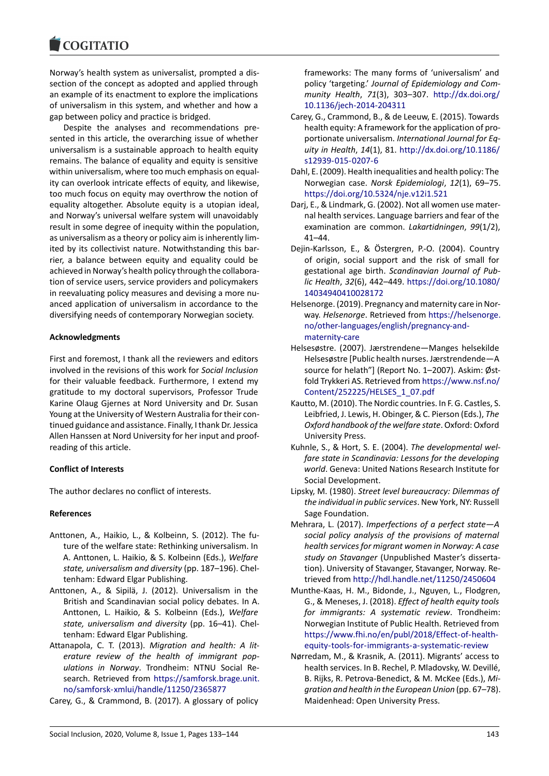Norway's health system as universalist, prompted a dissection of the concept as adopted and applied through an example of its enactment to explore the implications of universalism in this system, and whether and how a gap between policy and practice is bridged.

Despite the analyses and recommendations presented in this article, the overarching issue of whether universalism is a sustainable approach to health equity remains. The balance of equality and equity is sensitive within universalism, where too much emphasis on equality can overlook intricate effects of equity, and likewise, too much focus on equity may overthrow the notion of equality altogether. Absolute equity is a utopian ideal, and Norway's universal welfare system will unavoidably result in some degree of inequity within the population, as universalism as a theory or policy aim is inherently limited by its collectivist nature. Notwithstanding this barrier, a balance between equity and equality could be achieved in Norway's health policy through the collaboration of service users, service providers and policymakers in reevaluating policy measures and devising a more nuanced application of universalism in accordance to the diversifying needs of contemporary Norwegian society.

## **Acknowledgments**

First and foremost, I thank all the reviewers and editors involved in the revisions of this work for *Social Inclusion* for their valuable feedback. Furthermore, I extend my gratitude to my doctoral supervisors, Professor Trude Karine Olaug Gjernes at Nord University and Dr. Susan Young at the University of Western Australia for their continued guidance and assistance. Finally, I thank Dr. Jessica Allen Hanssen at Nord University for her input and proofreading of this article.

# **Conflict of Interests**

The author declares no conflict of interests.

# **References**

- Anttonen, A., Haikio, L., & Kolbeinn, S. (2012). The future of the welfare state: Rethinking universalism. In A. Anttonen, L. Haikio, & S. Kolbeinn (Eds.), *Welfare state, universalism and diversity* (pp. 187–196). Cheltenham: Edward Elgar Publishing.
- Anttonen, A., & Sipilä, J. (2012). Universalism in the British and Scandinavian social policy debates. In A. Anttonen, L. Haikio, & S. Kolbeinn (Eds.), *Welfare state, universalism and diversity* (pp. 16–41). Cheltenham: Edward Elgar Publishing.
- Attanapola, C. T. (2013). *Migration and health: A literature review of the health of immigrant populations in Norway*. Trondheim: NTNU Social Research. Retrieved from https://samforsk.brage.unit. no/samforsk-xmlui/handle/11250/2365877
- Carey, G., & Crammond, B. (2017). A glossary of policy

frameworks: The many forms of 'universalism' and policy 'targeting.' *Journal of Epidemiology and Community Health*, *71*(3), 303–307. http://dx.doi.org/ 10.1136/jech-2014-204311

- Carey, G., Crammond, B., & de Leeuw, E. (2015). Towards health equity: A framework for the application of proportionate universalism. *Internati[onal Journal for Eq](http://dx.doi.org/10.1136/jech-2014-204311)[uity in Health](http://dx.doi.org/10.1136/jech-2014-204311)*, *14*(1), 81. http://dx.doi.org/10.1186/ s12939-015-0207-6
- Dahl, E. (2009). Health inequalities and health policy: The Norwegian case. *Norsk Epidemiologi*, *12*(1), 69–75. https://doi.org/10.5324/[nje.v12i1.521](http://dx.doi.org/10.1186/s12939-015-0207-6)
- Dar[j, E., & Lindmark, G. \(](http://dx.doi.org/10.1186/s12939-015-0207-6)2002). Not all women use maternal health services. Language barriers and fear of the examination are common. *Lakartidningen*, *99*(1/2), [41–44.](https://doi.org/10.5324/nje.v12i1.521)
- Dejin-Karlsson, E., & Östergren, P.-O. (2004). Country of origin, social support and the risk of small for gestational age birth. *Scandinavian Journal of Public Health*, *32*(6), 442–449. https://doi.org/10.1080/ 14034940410028172
- Helsenorge. (2019). Pregnancy and maternity care in Norway. *Helsenorge*. Retrieved from https://helsenorge. no/other-languages/englis[h/pregnancy-and](https://doi.org/10.1080/14034940410028172)[maternity-care](https://doi.org/10.1080/14034940410028172)
- Helsesøstre. (2007). Jærstrendene—Manges helsekilde Helsesøstre [Public health nurses. [Jærstrendende—A](https://helsenorge.no/other-languages/english/pregnancy-and-maternity-care) [source for helath"\] \(Report No. 1–2007\). Ask](https://helsenorge.no/other-languages/english/pregnancy-and-maternity-care)im: Øst[fold Trykkeri AS](https://helsenorge.no/other-languages/english/pregnancy-and-maternity-care). Retrieved from https://www.nsf.no/ Content/252225/HELSES\_1\_07.pdf
- Kautto, M. (2010). The Nordic countries. In F. G. Castles, S. Leibfried, J. Lewis, H. Obinger, & C. Pierson (Eds.), *The Oxford handbook of the welfare state*[. Oxford: Oxford](https://www.nsf.no/Content/252225/HELSES_1_07.pdf) [University Press.](https://www.nsf.no/Content/252225/HELSES_1_07.pdf)
- Kuhnle, S., & Hort, S. E. (2004). *The developmental welfare state in Scandinavia: Lessons for the developing world*. Geneva: United Nations Research Institute for Social Development.
- Lipsky, M. (1980). *Street level bureaucracy: Dilemmas of the individual in public services*. New York, NY: Russell Sage Foundation.
- Mehrara, L. (2017). *Imperfections of a perfect state—A social policy analysis of the provisions of maternal health services for migrant women in Norway: A case study on Stavanger* (Unpublished Master's dissertation). University of Stavanger, Stavanger, Norway. Retrieved from http://hdl.handle.net/11250/2450604
- Munthe-Kaas, H. M., Bidonde, J., Nguyen, L., Flodgren, G., & Meneses, J. (2018). *Effect of health equity tools for immigrants: A systematic review*. Trondheim: Norwegian I[nstitute of Public Health. Retrieved from](http://hdl.handle.net/11250/2450604) https://www.fhi.no/en/publ/2018/Effect-of-healthequity-tools-for-immigrants-a-systematic-review
- Nørredam, M., & Krasnik, A. (2011). Migrants' access to health services. In B. Rechel, P. Mladovsky, W. Devillé, [B. Rijks, R. Petrova-Benedict, & M. McKee \(Eds.\),](https://www.fhi.no/en/publ/2018/Effect-of-health-equity-tools-for-immigrants-a-systematic-review) *Mi[gration and health in the European Union](https://www.fhi.no/en/publ/2018/Effect-of-health-equity-tools-for-immigrants-a-systematic-review)* (pp. 67–78). Maidenhead: Open University Press.